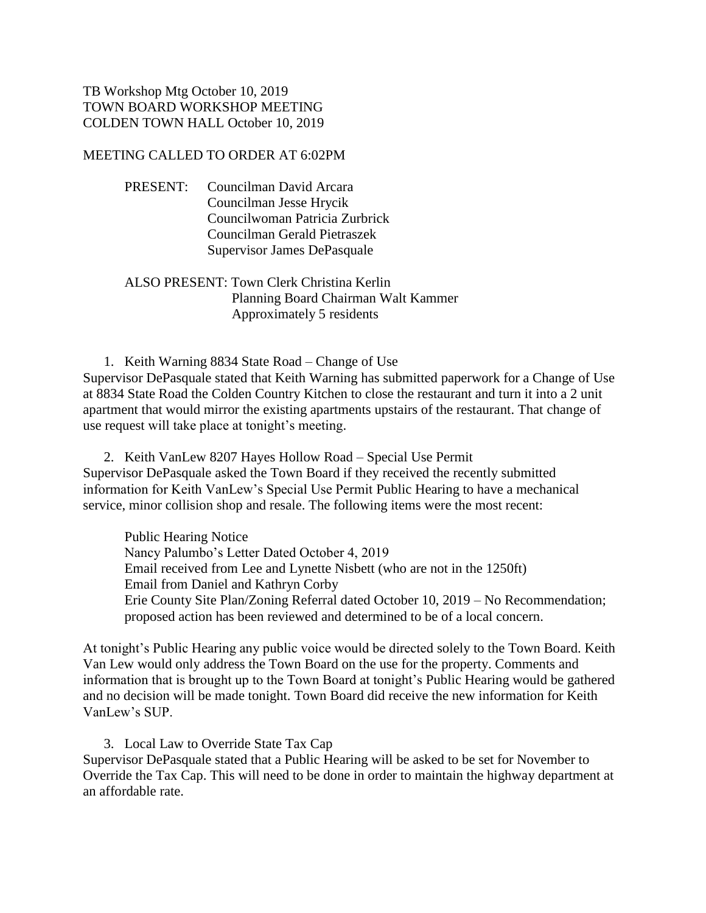## TB Workshop Mtg October 10, 2019 TOWN BOARD WORKSHOP MEETING COLDEN TOWN HALL October 10, 2019

### MEETING CALLED TO ORDER AT 6:02PM

PRESENT: Councilman David Arcara Councilman Jesse Hrycik Councilwoman Patricia Zurbrick Councilman Gerald Pietraszek Supervisor James DePasquale

## ALSO PRESENT: Town Clerk Christina Kerlin Planning Board Chairman Walt Kammer Approximately 5 residents

1. Keith Warning 8834 State Road – Change of Use Supervisor DePasquale stated that Keith Warning has submitted paperwork for a Change of Use at 8834 State Road the Colden Country Kitchen to close the restaurant and turn it into a 2 unit apartment that would mirror the existing apartments upstairs of the restaurant. That change of use request will take place at tonight's meeting.

2. Keith VanLew 8207 Hayes Hollow Road – Special Use Permit Supervisor DePasquale asked the Town Board if they received the recently submitted information for Keith VanLew's Special Use Permit Public Hearing to have a mechanical service, minor collision shop and resale. The following items were the most recent:

Public Hearing Notice Nancy Palumbo's Letter Dated October 4, 2019 Email received from Lee and Lynette Nisbett (who are not in the 1250ft) Email from Daniel and Kathryn Corby Erie County Site Plan/Zoning Referral dated October 10, 2019 – No Recommendation; proposed action has been reviewed and determined to be of a local concern.

At tonight's Public Hearing any public voice would be directed solely to the Town Board. Keith Van Lew would only address the Town Board on the use for the property. Comments and information that is brought up to the Town Board at tonight's Public Hearing would be gathered and no decision will be made tonight. Town Board did receive the new information for Keith VanLew's SUP.

3. Local Law to Override State Tax Cap Supervisor DePasquale stated that a Public Hearing will be asked to be set for November to Override the Tax Cap. This will need to be done in order to maintain the highway department at an affordable rate.